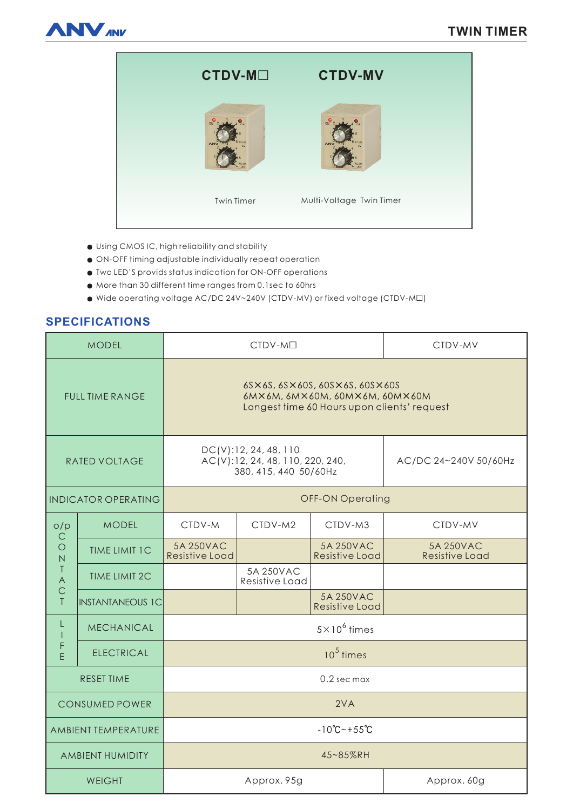



- Using CMOS IC, high reliability and stability
- ON-OFF timing adjustable individually repeat operation
- Two LED'S provids status indication for ON-OFF operations
- $\bullet$  More than 30 different time ranges from 0.1sec to 60hrs
- Wide operating voltage AC/DC 24V~240V (CTDV-MV) or fixed voltage (CTDV-M口)

# **SPECIFICATIONS**

| <b>MODEL</b>                                                                                                   |                      | CTDV-M□                                                                                                                                                                                   |                             |                             | CTDV-MV                            |
|----------------------------------------------------------------------------------------------------------------|----------------------|-------------------------------------------------------------------------------------------------------------------------------------------------------------------------------------------|-----------------------------|-----------------------------|------------------------------------|
| <b>FULL TIME RANGE</b>                                                                                         |                      | $6S \times 6S$ , $6S \times 60S$ , $60S \times 6S$ , $60S \times 60S$<br>$6M\times 6M$ , $6M\times 60M$ , $60M\times 6M$ , $60M\times 60M$<br>Longest time 60 Hours upon clients' request |                             |                             |                                    |
| <b>RATED VOLTAGE</b>                                                                                           |                      | DC(V): 12, 24, 48, 110<br>AC(V):12, 24, 48, 110, 220, 240,<br>380, 415, 440 50/60Hz                                                                                                       |                             |                             | AC/DC 24~240V 50/60Hz              |
| <b>INDICATOR OPERATING</b>                                                                                     |                      | <b>OFF-ON Operating</b>                                                                                                                                                                   |                             |                             |                                    |
| o/p<br>$\mathsf{C}$<br>$\circ$<br>$\overline{N}$<br>$\top$<br>$\overline{A}$<br>$\overline{C}$<br>$\mathsf{T}$ | <b>MODEL</b>         | CTDV-M                                                                                                                                                                                    | CTDV-M2                     | CTDV-M3                     | CTDV-MV                            |
|                                                                                                                | TIME LIMIT 1C        | 5A 250VAC<br>Resistive Load                                                                                                                                                               |                             | 5A 250VAC<br>Resistive Load | 5A 250VAC<br><b>Resistive Load</b> |
|                                                                                                                | <b>TIME LIMIT 2C</b> |                                                                                                                                                                                           | 5A 250VAC<br>Resistive Load |                             |                                    |
|                                                                                                                | INSTANTANEOUS 1C     |                                                                                                                                                                                           |                             | 5A 250VAC<br>Resistive Load |                                    |
| L<br>F<br>F                                                                                                    | <b>MECHANICAL</b>    | $5\times10^6$ times                                                                                                                                                                       |                             |                             |                                    |
|                                                                                                                | <b>ELECTRICAL</b>    | $105$ times                                                                                                                                                                               |                             |                             |                                    |
| <b>RESET TIME</b>                                                                                              |                      | 0.2 sec max                                                                                                                                                                               |                             |                             |                                    |
| <b>CONSUMED POWER</b>                                                                                          |                      | 2VA                                                                                                                                                                                       |                             |                             |                                    |
| AMBIENT TEMPERATURE                                                                                            |                      | $-10^{\circ}$ C ~ + 55 $^{\circ}$ C                                                                                                                                                       |                             |                             |                                    |
| <b>AMBIENT HUMIDITY</b>                                                                                        |                      | 45~85%RH                                                                                                                                                                                  |                             |                             |                                    |
| <b>WEIGHT</b>                                                                                                  |                      | Approx. 95g                                                                                                                                                                               |                             |                             | Approx. 60g                        |